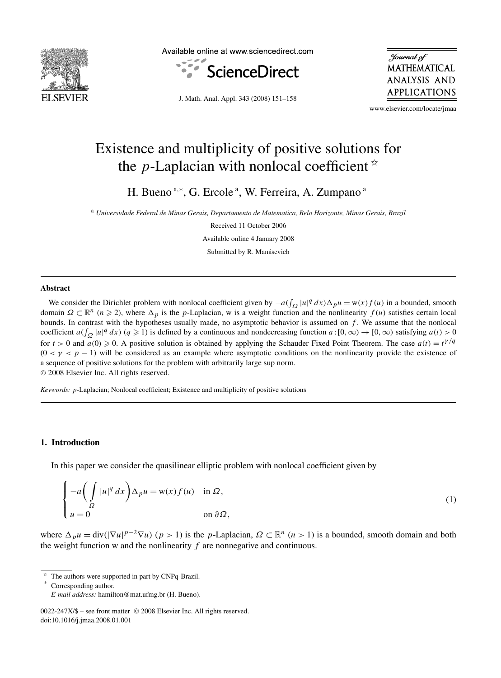

Available online at www.sciencedirect.com



Journal of **MATHEMATICAL** ANALYSIS AND **APPLICATIONS** 

J. Math. Anal. Appl. 343 (2008) 151–158

www.elsevier.com/locate/jmaa

# Existence and multiplicity of positive solutions for the *p*-Laplacian with nonlocal coefficient  $\dot{x}$

H. Bueno<sup>a,\*</sup>, G. Ercole<sup>a</sup>, W. Ferreira, A. Zumpano<sup>a</sup>

<sup>a</sup> *Universidade Federal de Minas Gerais, Departamento de Matematica, Belo Horizonte, Minas Gerais, Brazil*

Received 11 October 2006

Available online 4 January 2008 Submitted by R. Manásevich

#### **Abstract**

We consider the Dirichlet problem with nonlocal coefficient given by  $-a(\int_{\Omega} |u|^q dx) \Delta_p u = w(x) f(u)$  in a bounded, smooth domain  $\Omega \subset \mathbb{R}^n$  ( $n \ge 2$ ), where  $\Delta_p$  is the *p*-Laplacian, w is a weight function and the nonlinearity  $f(u)$  satisfies certain local bounds. In contrast with the hypotheses usually made, no asymptotic behavior is assumed on *f* . We assume that the nonlocal coefficient  $a(f_{\Omega} | u|^q dx)$  ( $q \ge 1$ ) is defined by a continuous and nondecreasing function  $a:[0,\infty) \to [0,\infty)$  satisfying  $a(t) > 0$ for  $t > 0$  and  $a(0) \ge 0$ . A positive solution is obtained by applying the Schauder Fixed Point Theorem. The case  $a(t) = t^{\gamma/q}$  $(0 < \gamma < p - 1)$  will be considered as an example where asymptotic conditions on the nonlinearity provide the existence of a sequence of positive solutions for the problem with arbitrarily large sup norm. © 2008 Elsevier Inc. All rights reserved.

*Keywords: p*-Laplacian; Nonlocal coefficient; Existence and multiplicity of positive solutions

### **1. Introduction**

In this paper we consider the quasilinear elliptic problem with nonlocal coefficient given by

$$
\begin{cases}\n-a\left(\int_{\Omega} |u|^{q} dx\right) \Delta_{p} u = \mathbf{w}(x) f(u) & \text{in } \Omega, \\
u = 0 & \text{on } \partial \Omega,\n\end{cases}
$$
\n(1)

where  $\Delta_p u = \text{div}(|\nabla u|^{p-2} \nabla u)$   $(p > 1)$  is the *p*-Laplacian,  $\Omega \subset \mathbb{R}^n$   $(n > 1)$  is a bounded, smooth domain and both the weight function  $w$  and the nonlinearity  $f$  are nonnegative and continuous.

The authors were supported in part by CNPq-Brazil.

Corresponding author.

*E-mail address:* hamilton@mat.ufmg.br (H. Bueno).

<sup>0022-247</sup>X/\$ – see front matter © 2008 Elsevier Inc. All rights reserved. doi:10.1016/j.jmaa.2008.01.001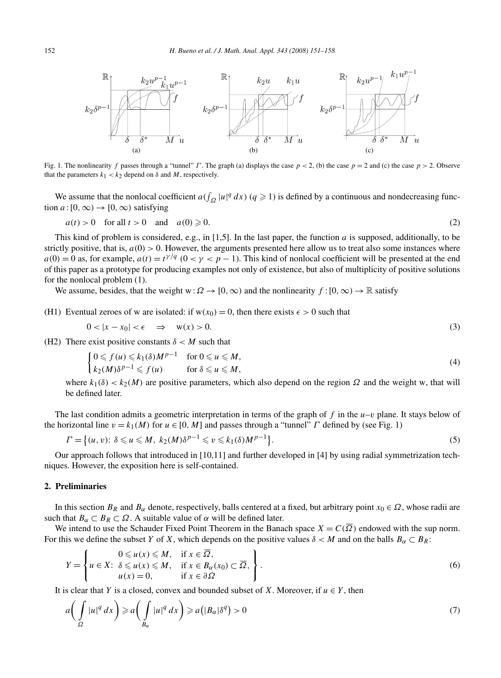

Fig. 1. The nonlinearity *f* passes through a "tunnel" *Γ* . The graph (a) displays the case *p <* 2, (b) the case *p* = 2 and (c) the case *p >* 2. Observe that the parameters  $k_1 < k_2$  depend on  $\delta$  and  $M$ , respectively.

We assume that the nonlocal coefficient  $a(f_{\Omega} |u|^q dx)$  ( $q \ge 1$ ) is defined by a continuous and nondecreasing function  $a:[0,\infty) \to [0,\infty)$  satisfying

$$
a(t) > 0 \quad \text{for all } t > 0 \quad \text{and} \quad a(0) \ge 0. \tag{2}
$$

This kind of problem is considered, e.g., in [1,5]. In the last paper, the function *a* is supposed, additionally, to be strictly positive, that is,  $a(0) > 0$ . However, the arguments presented here allow us to treat also some instances where  $a(0) = 0$  as, for example,  $a(t) = t^{\gamma/q}$  ( $0 < \gamma < p - 1$ ). This kind of nonlocal coefficient will be presented at the end of this paper as a prototype for producing examples not only of existence, but also of multiplicity of positive solutions for the nonlocal problem (1).

We assume, besides, that the weight w:  $\Omega \to [0, \infty)$  and the nonlinearity  $f : [0, \infty) \to \mathbb{R}$  satisfy

(H1) Eventual zeroes of w are isolated: if  $w(x_0) = 0$ , then there exists  $\epsilon > 0$  such that

$$
0 < |x - x_0| < \epsilon \quad \Rightarrow \quad w(x) > 0. \tag{3}
$$

(H2) There exist positive constants  $\delta < M$  such that

$$
\begin{cases} 0 \leqslant f(u) \leqslant k_1(\delta)M^{p-1} & \text{for } 0 \leqslant u \leqslant M, \\ k_2(M)\delta^{p-1} \leqslant f(u) & \text{for } \delta \leqslant u \leqslant M, \end{cases} \tag{4}
$$

where  $k_1(\delta) < k_2(M)$  are positive parameters, which also depend on the region  $\Omega$  and the weight w, that will be defined later.

The last condition admits a geometric interpretation in terms of the graph of  $f$  in the  $u-v$  plane. It stays below of the horizontal line  $v = k_1(M)$  for  $u \in [0, M]$  and passes through a "tunnel" *Γ* defined by (see Fig. 1)

$$
\Gamma = \left\{ (u, v): \delta \leqslant u \leqslant M, \ k_2(M)\delta^{p-1} \leqslant v \leqslant k_1(\delta)M^{p-1} \right\}.
$$
\n
$$
(5)
$$

Our approach follows that introduced in [10,11] and further developed in [4] by using radial symmetrization techniques. However, the exposition here is self-contained.

## **2. Preliminaries**

In this section  $B_R$  and  $B_\alpha$  denote, respectively, balls centered at a fixed, but arbitrary point  $x_0 \in \Omega$ , whose radii are such that  $B_\alpha \subset B_R \subset \Omega$ . A suitable value of  $\alpha$  will be defined later.

We intend to use the Schauder Fixed Point Theorem in the Banach space  $X = C(\overline{\Omega})$  endowed with the sup norm. For this we define the subset *Y* of *X*, which depends on the positive values  $\delta < M$  and on the balls  $B_\alpha \subset B_R$ :

$$
Y = \left\{ u \in X: \begin{array}{ll} 0 \le u(x) \le M, & \text{if } x \in \overline{\Omega}, \\ u \in X: \delta \le u(x) \le M, & \text{if } x \in B_{\alpha}(x_0) \subset \overline{\Omega}, \\ u(x) = 0, & \text{if } x \in \partial \Omega \end{array} \right\}.
$$
\n
$$
(6)
$$

It is clear that *Y* is a closed, convex and bounded subset of *X*. Moreover, if  $u \in Y$ , then

$$
a\left(\int\limits_{\Omega}|u|^{q}\,dx\right)\geqslant a\left(\int\limits_{B_{\alpha}}|u|^{q}\,dx\right)\geqslant a\left(|B_{\alpha}|{\delta}^{q}\right)>0\tag{7}
$$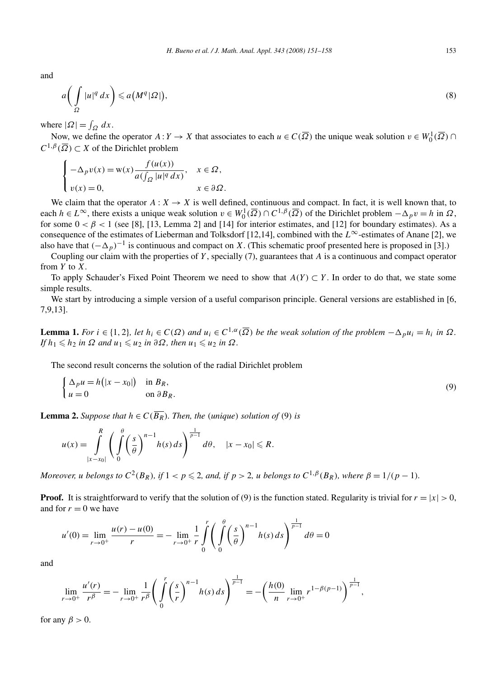and

$$
a\left(\int\limits_{\Omega}|u|^{q}\,dx\right)\leqslant a\left(M^{q}|\Omega|\right),\tag{8}
$$

where  $|\Omega| = \int_{\Omega} dx$ .

Now, we define the operator  $A: Y \to X$  that associates to each  $u \in C(\overline{\Omega})$  the unique weak solution  $v \in W_0^1(\overline{\Omega}) \cap C$  $C^{1,\beta}(\overline{\Omega}) \subset X$  of the Dirichlet problem

$$
\begin{cases}\n-\Delta_p v(x) = \mathbf{w}(x) \frac{f(u(x))}{a(\int_{\Omega} |u|^q dx)}, & x \in \Omega, \\
v(x) = 0, & x \in \partial\Omega.\n\end{cases}
$$

We claim that the operator  $A: X \to X$  is well defined, continuous and compact. In fact, it is well known that, to each  $h \in L^{\infty}$ , there exists a unique weak solution  $v \in W_0^1(\overline{\Omega}) \cap C^{1,\beta}(\overline{\Omega})$  of the Dirichlet problem  $-\Delta_p v = h$  in  $\Omega$ , for some  $0 < \beta < 1$  (see [8], [13, Lemma 2] and [14] for interior estimates, and [12] for boundary estimates). As a consequence of the estimates of Lieberman and Tolksdorf [12,14], combined with the *L*∞-estimates of Anane [2], we also have that  $(-\Delta_p)^{-1}$  is continuous and compact on *X*. (This schematic proof presented here is proposed in [3].)

Coupling our claim with the properties of *Y* , specially (7), guarantees that *A* is a continuous and compact operator from *Y* to *X*.

To apply Schauder's Fixed Point Theorem we need to show that *A(Y)* ⊂ *Y* . In order to do that, we state some simple results.

We start by introducing a simple version of a useful comparison principle. General versions are established in [6, 7,9,13].

**Lemma 1.** For  $i \in \{1,2\}$ , let  $h_i \in C(\Omega)$  and  $u_i \in C^{1,\alpha}(\overline{\Omega})$  be the weak solution of the problem  $-\Delta_p u_i = h_i$  in  $\Omega$ .  $If h_1 \leq h_2$  *in*  $\Omega$  *and*  $u_1 \leq u_2$  *in*  $\partial \Omega$ *, then*  $u_1 \leq u_2$  *in*  $\Omega$ *.* 

The second result concerns the solution of the radial Dirichlet problem

$$
\begin{cases} \Delta_p u = h(|x - x_0|) & \text{in } B_R, \\ u = 0 & \text{on } \partial B_R. \end{cases}
$$
 (9)

**Lemma 2.** Suppose that  $h \in C(\overline{B_R})$ . Then, the *(unique) solution of (9) is* 

$$
u(x) = \int_{|x-x_0|}^R \left( \int_0^{\theta} \left( \frac{s}{\theta} \right)^{n-1} h(s) \, ds \right)^{\frac{1}{p-1}} d\theta, \quad |x-x_0| \leq R.
$$

Moreover, u belongs to  $C^2(B_R)$ , if  $1 < p \le 2$ , and, if  $p > 2$ , u belongs to  $C^{1,\beta}(B_R)$ , where  $\beta = 1/(p-1)$ .

**Proof.** It is straightforward to verify that the solution of (9) is the function stated. Regularity is trivial for  $r = |x| > 0$ , and for  $r = 0$  we have

$$
u'(0) = \lim_{r \to 0^+} \frac{u(r) - u(0)}{r} = -\lim_{r \to 0^+} \frac{1}{r} \int_0^r \left( \int_0^{\theta} \left( \frac{s}{\theta} \right)^{n-1} h(s) \, ds \right)^{\frac{1}{p-1}} d\theta = 0
$$

and

$$
\lim_{r \to 0^+} \frac{u'(r)}{r^{\beta}} = - \lim_{r \to 0^+} \frac{1}{r^{\beta}} \left( \int_0^r \left( \frac{s}{r} \right)^{n-1} h(s) \, ds \right)^{\frac{1}{p-1}} = - \left( \frac{h(0)}{n} \lim_{r \to 0^+} r^{1-\beta(p-1)} \right)^{\frac{1}{p-1}},
$$

for any  $\beta > 0$ .

 $\mathbb{R}^2$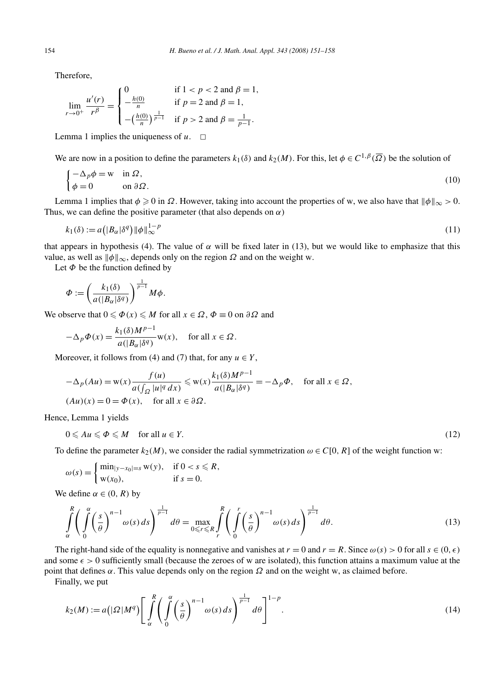Therefore,

$$
\lim_{r \to 0^+} \frac{u'(r)}{r^{\beta}} = \begin{cases} 0 & \text{if } 1 < p < 2 \text{ and } \beta = 1, \\ -\frac{h(0)}{n} & \text{if } p = 2 \text{ and } \beta = 1, \\ -\left(\frac{h(0)}{n}\right)^{\frac{1}{p-1}} & \text{if } p > 2 \text{ and } \beta = \frac{1}{p-1}. \end{cases}
$$

Lemma 1 implies the uniqueness of  $u$ .  $\Box$ 

We are now in a position to define the parameters  $k_1(\delta)$  and  $k_2(M)$ . For this, let  $\phi \in C^{1,\beta}(\overline{\Omega})$  be the solution of

$$
\begin{cases}\n-\Delta_p \phi = w & \text{in } \Omega, \\
\phi = 0 & \text{on } \partial \Omega.\n\end{cases}
$$
\n(10)

Lemma 1 implies that  $\phi \ge 0$  in  $\Omega$ . However, taking into account the properties of w, we also have that  $\|\phi\|_{\infty} > 0$ . Thus, we can define the positive parameter (that also depends on  $\alpha$ )

$$
k_1(\delta) := a\left(|B_{\alpha}| \delta^q\right) \|\phi\|_{\infty}^{1-p} \tag{11}
$$

that appears in hypothesis (4). The value of *α* will be fixed later in (13), but we would like to emphasize that this value, as well as  $\|\phi\|_{\infty}$ , depends only on the region  $\Omega$  and on the weight w.

Let *Φ* be the function defined by

$$
\Phi := \left(\frac{k_1(\delta)}{a(|B_{\alpha}|{\delta}^q)}\right)^{\frac{1}{p-1}} M\phi.
$$

We observe that  $0 \le \Phi(x) \le M$  for all  $x \in \Omega$ ,  $\Phi \equiv 0$  on  $\partial \Omega$  and

$$
-\Delta_p \Phi(x) = \frac{k_1(\delta)M^{p-1}}{a(|B_{\alpha}| \delta^q)} \mathbf{w}(x), \quad \text{for all } x \in \Omega.
$$

Moreover, it follows from (4) and (7) that, for any  $u \in Y$ ,

$$
-\Delta_p(Au) = \mathbf{w}(x) \frac{f(u)}{a(\int_{\Omega} |u|^q dx)} \leq \mathbf{w}(x) \frac{k_1(\delta)M^{p-1}}{a(|B_{\alpha}| \delta^q)} = -\Delta_p \Phi, \quad \text{for all } x \in \Omega,
$$
  
(*Au*)(*x*) = 0 =  $\Phi(x)$ , for all  $x \in \partial\Omega$ .

Hence, Lemma 1 yields

$$
0 \leqslant Au \leqslant \Phi \leqslant M \quad \text{for all } u \in Y. \tag{12}
$$

To define the parameter  $k_2(M)$ , we consider the radial symmetrization  $\omega \in C[0, R]$  of the weight function w:

$$
\omega(s) = \begin{cases} \min_{|y-x_0|=s} w(y), & \text{if } 0 < s \leq R, \\ w(x_0), & \text{if } s = 0. \end{cases}
$$

We define  $\alpha \in (0, R)$  by

$$
\int_{\alpha}^{R} \left( \int_{0}^{\alpha} \left( \frac{s}{\theta} \right)^{n-1} \omega(s) \, ds \right)^{\frac{1}{p-1}} d\theta = \max_{0 \le r \le R} \int_{r}^{R} \left( \int_{0}^{r} \left( \frac{s}{\theta} \right)^{n-1} \omega(s) \, ds \right)^{\frac{1}{p-1}} d\theta. \tag{13}
$$

The right-hand side of the equality is nonnegative and vanishes at  $r = 0$  and  $r = R$ . Since  $\omega(s) > 0$  for all  $s \in (0, \epsilon)$ and some  $\epsilon > 0$  sufficiently small (because the zeroes of w are isolated), this function attains a maximum value at the point that defines  $\alpha$ . This value depends only on the region  $\Omega$  and on the weight w, as claimed before.

Finally, we put

$$
k_2(M) := a\left(|\Omega|M^q\right) \left[\int\limits_{\alpha}^{R} \left(\int\limits_{0}^{\alpha} \left(\frac{s}{\theta}\right)^{n-1} \omega(s) \, ds\right)^{\frac{1}{p-1}} d\theta\right]^{1-p}.\tag{14}
$$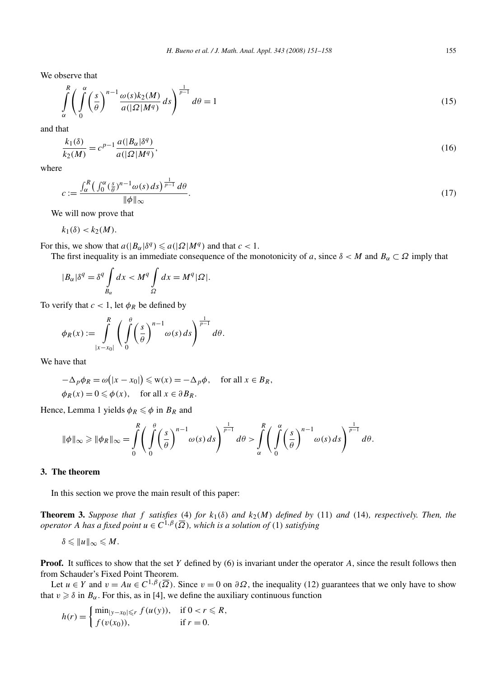We observe that

$$
\int_{\alpha}^{R} \left( \int_{0}^{\alpha} \left( \frac{s}{\theta} \right)^{n-1} \frac{\omega(s)k_2(M)}{a(|\Omega|M^q)} ds \right)^{\frac{1}{p-1}} d\theta = 1
$$
\n(15)

and that

$$
\frac{k_1(\delta)}{k_2(M)} = c^{p-1} \frac{a(|B_\alpha|\delta^q)}{a(|\Omega|M^q)},\tag{16}
$$

where

$$
c := \frac{\int_{\alpha}^{R} \left( \int_{0}^{\alpha} \left( \frac{s}{\theta} \right)^{n-1} \omega(s) \, ds \right)^{\frac{1}{p-1}} \, d\theta}{\|\phi\|_{\infty}}.
$$
\n
$$
(17)
$$

We will now prove that

 $k_1(\delta) < k_2(M)$ .

For this, we show that  $a(|B_{\alpha}| \delta^{q}) \le a(|\Omega| M^{q})$  and that  $c < 1$ .

The first inequality is an immediate consequence of the monotonicity of *a*, since  $\delta < M$  and  $B_\alpha \subset \Omega$  imply that

$$
|B_{\alpha}|{\delta}^q = {\delta}^q \int\limits_{B_{\alpha}} dx < M^q \int\limits_{\Omega} dx = M^q |\Omega|.
$$

To verify that  $c < 1$ , let  $\phi_R$  be defined by

$$
\phi_R(x) := \int\limits_{|x-x_0|}^R \left( \int\limits_0^\theta \left( \frac{s}{\theta} \right)^{n-1} \omega(s) \, ds \right)^{\frac{1}{p-1}} d\theta.
$$

We have that

$$
-\Delta_p \phi_R = \omega(|x - x_0|) \le w(x) = -\Delta_p \phi, \quad \text{for all } x \in B_R,
$$
  

$$
\phi_R(x) = 0 \le \phi(x), \quad \text{for all } x \in \partial B_R.
$$

Hence, Lemma 1 yields  $\phi_R \leq \phi$  in  $B_R$  and

$$
\|\phi\|_{\infty} \ge \|\phi_R\|_{\infty} = \int\limits_0^R \left( \int\limits_0^{\theta} \left( \frac{s}{\theta} \right)^{n-1} \omega(s) \, ds \right)^{\frac{1}{p-1}} d\theta > \int\limits_\alpha^R \left( \int\limits_0^\alpha \left( \frac{s}{\theta} \right)^{n-1} \omega(s) \, ds \right)^{\frac{1}{p-1}} d\theta.
$$

## **3. The theorem**

In this section we prove the main result of this paper:

**Theorem 3.** Suppose that f satisfies (4) for  $k_1(\delta)$  and  $k_2(M)$  defined by (11) and (14), respectively. Then, the *operator A has a fixed point*  $u \in C^{1,\beta}(\overline{\Omega})$ *, which is a solution of* (1) *satisfying* 

$$
\delta \leqslant ||u||_{\infty} \leqslant M.
$$

**Proof.** It suffices to show that the set *Y* defined by (6) is invariant under the operator *A*, since the result follows then from Schauder's Fixed Point Theorem.

Let  $u \in Y$  and  $v = Au \in C^{1,\beta}(\overline{\Omega})$ . Since  $v = 0$  on  $\partial\Omega$ , the inequality (12) guarantees that we only have to show that  $v \geq \delta$  in  $B_\alpha$ . For this, as in [4], we define the auxiliary continuous function

$$
h(r) = \begin{cases} \min_{|y-x_0| \le r} f(u(y)), & \text{if } 0 < r \le R, \\ f(v(x_0)), & \text{if } r = 0. \end{cases}
$$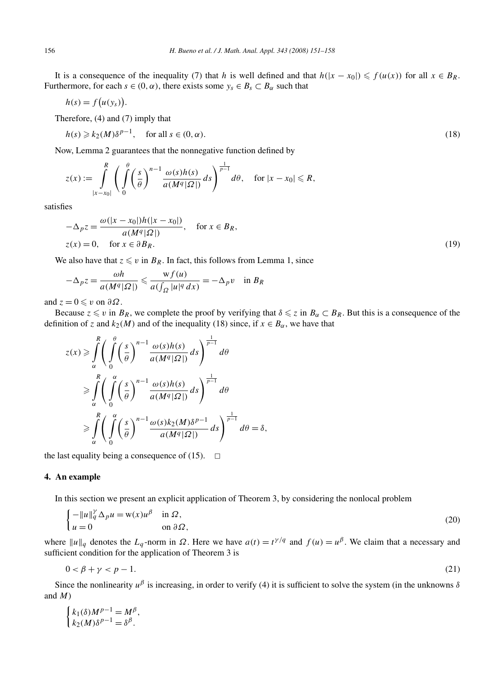It is a consequence of the inequality (7) that *h* is well defined and that  $h(|x - x_0|) \leq f(u(x))$  for all  $x \in B_R$ . Furthermore, for each  $s \in (0, \alpha)$ , there exists some  $y_s \in B_s \subset B_\alpha$  such that

$$
h(s) = f(u(y_s)).
$$

Therefore, (4) and (7) imply that

$$
h(s) \geq k_2(M)\delta^{p-1}, \quad \text{for all } s \in (0, \alpha). \tag{18}
$$

Now, Lemma 2 guarantees that the nonnegative function defined by

$$
z(x) := \int\limits_{|x-x_0|}^R \left( \int\limits_0^\theta \left( \frac{s}{\theta} \right)^{n-1} \frac{\omega(s)h(s)}{a(M^q|\Omega|)} ds \right)^{\frac{1}{p-1}} d\theta, \quad \text{for } |x-x_0| \leq R,
$$

satisfies

$$
-\Delta_p z = \frac{\omega(|x - x_0|)h(|x - x_0|)}{a(M^q|\Omega|)}, \quad \text{for } x \in B_R,
$$
  
 
$$
z(x) = 0, \quad \text{for } x \in \partial B_R.
$$
 (19)

We also have that  $z \leq v$  in  $B_R$ . In fact, this follows from Lemma 1, since

$$
-\Delta_p z = \frac{\omega h}{a(M^q|\Omega|)} \leqslant \frac{\mathrm{w} f(u)}{a(\int_{\Omega} |u|^q \, dx)} = -\Delta_p v \quad \text{in } B_R
$$

and  $z = 0 \leq v$  on  $\partial \Omega$ .

Because  $z \le v$  in  $B_R$ , we complete the proof by verifying that  $\delta \le z$  in  $B_\alpha \subset B_R$ . But this is a consequence of the definition of *z* and  $k_2(M)$  and of the inequality (18) since, if  $x \in B_\alpha$ , we have that

$$
z(x) \ge \int_{\alpha}^{R} \left( \int_{0}^{\theta} \left( \frac{s}{\theta} \right)^{n-1} \frac{\omega(s)h(s)}{a(M^{q}|\Omega|)} ds \right)^{\frac{1}{p-1}} d\theta
$$
  
\n
$$
\ge \int_{\alpha}^{R} \left( \int_{0}^{\alpha} \left( \frac{s}{\theta} \right)^{n-1} \frac{\omega(s)h(s)}{a(M^{q}|\Omega|)} ds \right)^{\frac{1}{p-1}} d\theta
$$
  
\n
$$
\ge \int_{\alpha}^{R} \left( \int_{0}^{\alpha} \left( \frac{s}{\theta} \right)^{n-1} \frac{\omega(s)k_{2}(M)\delta^{p-1}}{a(M^{q}|\Omega|)} ds \right)^{\frac{1}{p-1}} d\theta = \delta,
$$

the last equality being a consequence of (15).  $\Box$ 

#### **4. An example**

In this section we present an explicit application of Theorem 3, by considering the nonlocal problem

$$
\begin{cases}\n-\|u\|_q^{\gamma} \Delta_p u = w(x)u^{\beta} & \text{in } \Omega, \\
u = 0 & \text{on } \partial \Omega,\n\end{cases}
$$
\n(20)

where  $||u||_q$  denotes the  $L_q$ -norm in  $\Omega$ . Here we have  $a(t) = t^{\gamma/q}$  and  $f(u) = u^{\beta}$ . We claim that a necessary and sufficient condition for the application of Theorem 3 is

$$
0 < \beta + \gamma < p - 1. \tag{21}
$$

Since the nonlinearity  $u^{\beta}$  is increasing, in order to verify (4) it is sufficient to solve the system (in the unknowns  $\delta$ and *M*)

$$
\begin{cases} k_1(\delta)M^{p-1} = M^{\beta}, \\ k_2(M)\delta^{p-1} = \delta^{\beta}. \end{cases}
$$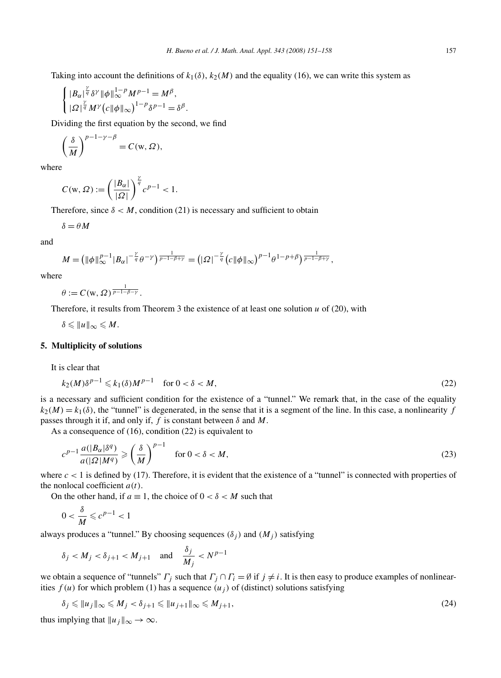Taking into account the definitions of  $k_1(\delta)$ ,  $k_2(M)$  and the equality (16), we can write this system as

$$
\begin{cases} |B_{\alpha}|^{\frac{\gamma}{q}} \delta^{\gamma} ||\phi||_{\infty}^{1-p} M^{p-1} = M^{\beta}, \\ |\Omega|^{\frac{\gamma}{q}} M^{\gamma} (c ||\phi||_{\infty})^{1-p} \delta^{p-1} = \delta^{\beta}. \end{cases}
$$

Dividing the first equation by the second, we find

$$
\left(\frac{\delta}{M}\right)^{p-1-\gamma-\beta} = C(\mathbf{w}, \Omega),
$$

where

$$
C(\mathbf{w}, \Omega) := \left(\frac{|B_{\alpha}|}{|\Omega|}\right)^{\frac{\gamma}{q}} c^{p-1} < 1.
$$

Therefore, since  $\delta < M$ , condition (21) is necessary and sufficient to obtain

*δ* = *θM*

and

$$
M=\left(\|\phi\|_{\infty}^{p-1}|B_{\alpha}|^{-\frac{\gamma}{q}}\theta^{-\gamma}\right)^{\frac{1}{p-1-\beta+\gamma}}=\left(\left|\Omega\right|^{-\frac{\gamma}{q}}\left(\left|c\right|\|\phi\|\right)_{\infty}\right)^{p-1}\theta^{1-p+\beta}\right)^{\frac{1}{p-1-\beta+\gamma}},
$$

where

 $\theta := C(w, \Omega)^\frac{1}{p-1-\beta-\gamma}$ .

Therefore, it results from Theorem 3 the existence of at least one solution  $u$  of (20), with

 $\delta \leqslant ||u||_{\infty} \leqslant M.$ 

## **5. Multiplicity of solutions**

It is clear that

$$
k_2(M)\delta^{p-1} \leq k_1(\delta)M^{p-1} \quad \text{for } 0 < \delta < M,\tag{22}
$$

is a necessary and sufficient condition for the existence of a "tunnel." We remark that, in the case of the equality  $k_2(M) = k_1(\delta)$ , the "tunnel" is degenerated, in the sense that it is a segment of the line. In this case, a nonlinearity *f* passes through it if, and only if,  $f$  is constant between  $\delta$  and  $M$ .

As a consequence of (16), condition (22) is equivalent to

$$
c^{p-1} \frac{a(|B_{\alpha}| \delta^{q})}{a(|\Omega| M^{q})} \geqslant \left(\frac{\delta}{M}\right)^{p-1} \quad \text{for } 0 < \delta < M,\tag{23}
$$

where  $c < 1$  is defined by (17). Therefore, it is evident that the existence of a "tunnel" is connected with properties of the nonlocal coefficient *a(t)*.

On the other hand, if  $a \equiv 1$ , the choice of  $0 < \delta < M$  such that

$$
0<\frac{\delta}{M}\leq c^{p-1}<1
$$

always produces a "tunnel." By choosing sequences  $(\delta_i)$  and  $(M_i)$  satisfying

$$
\delta_j < M_j < \delta_{j+1} < M_{j+1} \quad \text{and} \quad \frac{\delta_j}{M_j} < N^{p-1}
$$

we obtain a sequence of "tunnels" *Γ<sub>j</sub>* such that  $\Gamma_j \cap \Gamma_i = \emptyset$  if  $j \neq i$ . It is then easy to produce examples of nonlinearities  $f(u)$  for which problem (1) has a sequence  $(u_i)$  of (distinct) solutions satisfying

$$
\delta_j \leqslant \|u_j\|_{\infty} \leqslant M_j < \delta_{j+1} \leqslant \|u_{j+1}\|_{\infty} \leqslant M_{j+1},\tag{24}
$$

thus implying that  $||u_j||_{\infty} \to \infty$ .